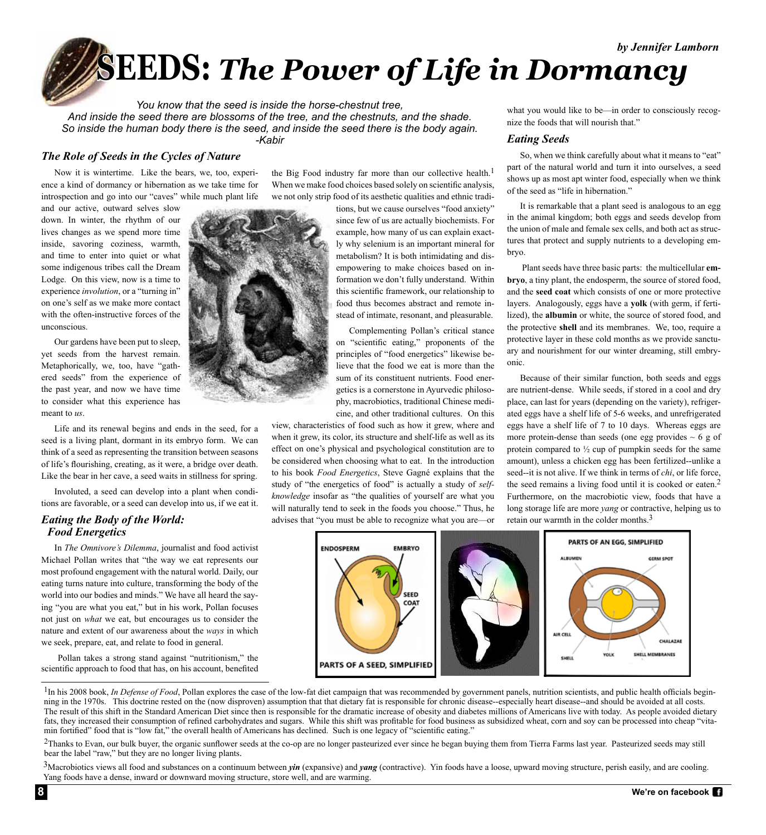**SEEDS:** *The Power of Life in Dormancy*

*You know that the seed is inside the horse-chestnut tree, And inside the seed there are blossoms of the tree, and the chestnuts, and the shade. So inside the human body there is the seed, and inside the seed there is the body again. -Kabir*

# *The Role of Seeds in the Cycles of Nature*

Now it is wintertime. Like the bears, we, too, experience a kind of dormancy or hibernation as we take time for introspection and go into our "caves" while much plant life

and our active, outward selves slow down. In winter, the rhythm of our lives changes as we spend more time inside, savoring coziness, warmth, and time to enter into quiet or what some indigenous tribes call the Dream Lodge. On this view, now is a time to experience *involution*, or a "turning in" on one's self as we make more contact with the often-instructive forces of the unconscious.

Our gardens have been put to sleep, yet seeds from the harvest remain. Metaphorically, we, too, have "gathered seeds" from the experience of the past year, and now we have time to consider what this experience has meant to *us*.

Life and its renewal begins and ends in the seed, for a seed is a living plant, dormant in its embryo form. We can think of a seed as representing the transition between seasons of life's flourishing, creating, as it were, a bridge over death. Like the bear in her cave, a seed waits in stillness for spring.

Involuted, a seed can develop into a plant when conditions are favorable, or a seed can develop into us, if we eat it.

# *Eating the Body of the World: Food Energetics*

In *The Omnivore's Dilemma*, journalist and food activist Michael Pollan writes that "the way we eat represents our most profound engagement with the natural world. Daily, our eating turns nature into culture, transforming the body of the world into our bodies and minds." We have all heard the saying "you are what you eat," but in his work, Pollan focuses not just on *what* we eat, but encourages us to consider the nature and extent of our awareness about the *ways* in which we seek, prepare, eat, and relate to food in general.

 Pollan takes a strong stand against "nutritionism," the scientific approach to food that has, on his account, benefited

the Big Food industry far more than our collective health.<sup>1</sup> When we make food choices based solely on scientific analysis, we not only strip food of its aesthetic qualities and ethnic tradi-

tions, but we cause ourselves "food anxiety" since few of us are actually biochemists. For example, how many of us can explain exactly why selenium is an important mineral for metabolism? It is both intimidating and disempowering to make choices based on information we don't fully understand. Within this scientific framework, our relationship to food thus becomes abstract and remote instead of intimate, resonant, and pleasurable.

Complementing Pollan's critical stance on "scientific eating," proponents of the principles of "food energetics" likewise believe that the food we eat is more than the sum of its constituent nutrients. Food energetics is a cornerstone in Ayurvedic philosophy, macrobiotics, traditional Chinese medicine, and other traditional cultures. On this

view, characteristics of food such as how it grew, where and when it grew, its color, its structure and shelf-life as well as its effect on one's physical and psychological constitution are to be considered when choosing what to eat. In the introduction to his book *Food Energetics*, Steve Gagné explains that the study of "the energetics of food" is actually a study of *selfknowledge* insofar as "the qualities of yourself are what you will naturally tend to seek in the foods you choose." Thus, he advises that "you must be able to recognize what you are—or

what you would like to be—in order to consciously recognize the foods that will nourish that."

#### *Eating Seeds*

So, when we think carefully about what it means to "eat" part of the natural world and turn it into ourselves, a seed shows up as most apt winter food, especially when we think of the seed as "life in hibernation."

It is remarkable that a plant seed is analogous to an egg in the animal kingdom; both eggs and seeds develop from the union of male and female sex cells, and both act as structures that protect and supply nutrients to a developing embryo.

 Plant seeds have three basic parts: the multicellular **embryo**, a tiny plant, the endosperm, the source of stored food, and the **seed coat** which consists of one or more protective layers. Analogously, eggs have a **yolk** (with germ, if fertilized), the **albumin** or white, the source of stored food, and the protective **shell** and its membranes. We, too, require a protective layer in these cold months as we provide sanctuary and nourishment for our winter dreaming, still embryonic.

Because of their similar function, both seeds and eggs are nutrient-dense. While seeds, if stored in a cool and dry place, can last for years (depending on the variety), refrigerated eggs have a shelf life of 5-6 weeks, and unrefrigerated eggs have a shelf life of 7 to 10 days. Whereas eggs are more protein-dense than seeds (one egg provides  $\sim 6$  g of protein compared to  $\frac{1}{2}$  cup of pumpkin seeds for the same amount), unless a chicken egg has been fertilized--unlike a seed--it is not alive. If we think in terms of *chi*, or life force, the seed remains a living food until it is cooked or eaten.<sup>2</sup> Furthermore, on the macrobiotic view, foods that have a long storage life are more *yang* or contractive, helping us to retain our warmth in the colder months.<sup>3</sup>



<sup>1</sup>In his 2008 book, *In Defense of Food*, Pollan explores the case of the low-fat diet campaign that was recommended by government panels, nutrition scientists, and public health officials beginning in the 1970s. This doctrine rested on the (now disproven) assumption that that dietary fat is responsible for chronic disease--especially heart disease--and should be avoided at all costs. The result of this shift in the Standard American Diet since then is responsible for the dramatic increase of obesity and diabetes millions of Americans live with today. As people avoided dietary fats, they increased their consumption of refined carbohydrates and sugars. While this shift was profitable for food business as subsidized wheat, corn and soy can be processed into cheap "vitamin fortified" food that is "low fat," the overall health of Americans has declined. Such is one legacy of "scientific eating."

 $2$ Thanks to Evan, our bulk buyer, the organic sunflower seeds at the co-op are no longer pasteurized ever since he began buying them from Tierra Farms last year. Pasteurized seeds may still bear the label "raw," but they are no longer living plants.

<sup>3</sup>Macrobiotics views all food and substances on a continuum between *yin* (expansive) and *yang* (contractive). Yin foods have a loose, upward moving structure, perish easily, and are cooling. Yang foods have a dense, inward or downward moving structure, store well, and are warming.